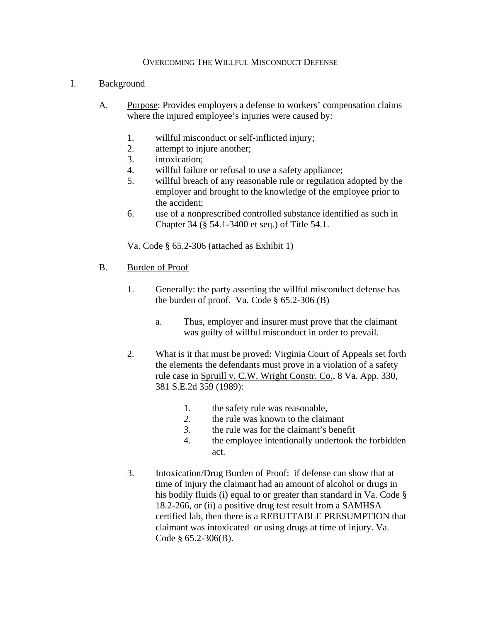## OVERCOMING THE WILLFUL MISCONDUCT DEFENSE

## I. Background

- A. Purpose: Provides employers a defense to workers' compensation claims where the injured employee's injuries were caused by:
	- 1. willful misconduct or self-inflicted injury;
	- 2. attempt to injure another;
	- 3. intoxication;
	- 4. willful failure or refusal to use a safety appliance;
	- 5. willful breach of any reasonable rule or regulation adopted by the employer and brought to the knowledge of the employee prior to the accident;
	- 6. use of a nonprescribed controlled substance identified as such in Chapter 34 (§ 54.1-3400 et seq.) of Title 54.1.

Va. Code § 65.2-306 (attached as Exhibit 1)

- B. Burden of Proof
	- 1. Generally: the party asserting the willful misconduct defense has the burden of proof. Va. Code  $\S$  65.2-306 (B)
		- a. Thus, employer and insurer must prove that the claimant was guilty of willful misconduct in order to prevail.
	- 2. What is it that must be proved: Virginia Court of Appeals set forth the elements the defendants must prove in a violation of a safety rule case in Spruill v. C.W. Wright Constr. Co., 8 Va. App. 330, 381 S.E.2d 359 (1989):
		- 1. the safety rule was reasonable,
		- *2.* the rule was known to the claimant
		- *3.* the rule was for the claimant's benefit
		- 4. the employee intentionally undertook the forbidden act.
	- 3. Intoxication/Drug Burden of Proof: if defense can show that at time of injury the claimant had an amount of alcohol or drugs in his bodily fluids (i) equal to or greater than standard in Va. Code § 18.2-266, or (ii) a positive drug test result from a SAMHSA certified lab, then there is a REBUTTABLE PRESUMPTION that claimant was intoxicated or using drugs at time of injury. Va. Code § 65.2-306(B).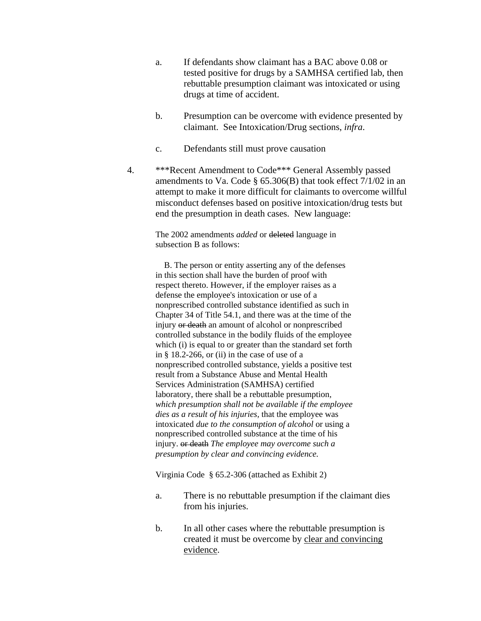- a. If defendants show claimant has a BAC above 0.08 or tested positive for drugs by a SAMHSA certified lab, then rebuttable presumption claimant was intoxicated or using drugs at time of accident.
- b. Presumption can be overcome with evidence presented by claimant. See Intoxication/Drug sections, *infra*.
- c. Defendants still must prove causation
- 4. \*\*\*Recent Amendment to Code\*\*\* General Assembly passed amendments to Va. Code  $\S$  65.306(B) that took effect 7/1/02 in an attempt to make it more difficult for claimants to overcome willful misconduct defenses based on positive intoxication/drug tests but end the presumption in death cases. New language:

The 2002 amendments *added* or deleted language in subsection B as follows:

 B. The person or entity asserting any of the defenses in this section shall have the burden of proof with respect thereto. However, if the employer raises as a defense the employee's intoxication or use of a nonprescribed controlled substance identified as such in Chapter 34 of Title 54.1, and there was at the time of the injury or death an amount of alcohol or nonprescribed controlled substance in the bodily fluids of the employee which (i) is equal to or greater than the standard set forth in § 18.2-266, or (ii) in the case of use of a nonprescribed controlled substance, yields a positive test result from a Substance Abuse and Mental Health Services Administration (SAMHSA) certified laboratory, there shall be a rebuttable presumption*, which presumption shall not be available if the employee dies as a result of his injuries,* that the employee was intoxicated *due to the consumption of alcohol* or using a nonprescribed controlled substance at the time of his injury. or death *The employee may overcome such a presumption by clear and convincing evidence.*

Virginia Code § 65.2-306 (attached as Exhibit 2)

- a. There is no rebuttable presumption if the claimant dies from his injuries.
- b. In all other cases where the rebuttable presumption is created it must be overcome by clear and convincing evidence.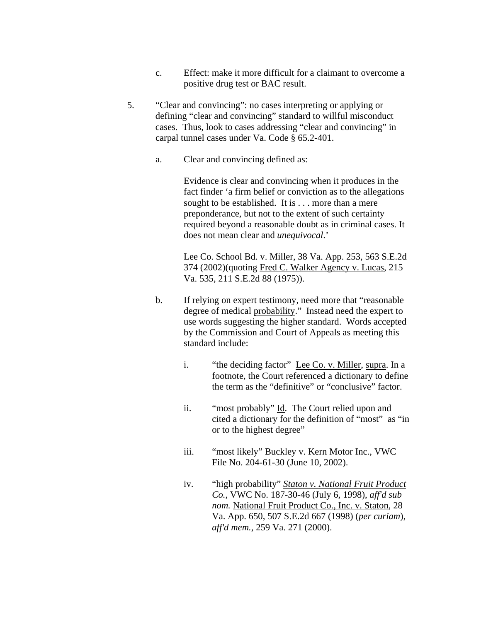- c. Effect: make it more difficult for a claimant to overcome a positive drug test or BAC result.
- 5. "Clear and convincing": no cases interpreting or applying or defining "clear and convincing" standard to willful misconduct cases. Thus, look to cases addressing "clear and convincing" in carpal tunnel cases under Va. Code § 65.2-401.
	- a. Clear and convincing defined as:

Evidence is clear and convincing when it produces in the fact finder 'a firm belief or conviction as to the allegations sought to be established. It is . . . more than a mere preponderance, but not to the extent of such certainty required beyond a reasonable doubt as in criminal cases. It does not mean clear and *unequivocal*.'

Lee Co. School Bd. v. Miller, 38 Va. App. 253, 563 S.E.2d 374 (2002)(quoting Fred C. Walker Agency v. Lucas, 215 Va. 535, 211 S.E.2d 88 (1975)).

- b. If relying on expert testimony, need more that "reasonable degree of medical probability." Instead need the expert to use words suggesting the higher standard. Words accepted by the Commission and Court of Appeals as meeting this standard include:
	- i. "the deciding factor" Lee Co. v. Miller, supra. In a footnote, the Court referenced a dictionary to define the term as the "definitive" or "conclusive" factor.
	- ii. "most probably" Id. The Court relied upon and cited a dictionary for the definition of "most" as "in or to the highest degree"
	- iii. "most likely" Buckley v. Kern Motor Inc., VWC File No. 204-61-30 (June 10, 2002).
	- iv. "high probability" *Staton v. National Fruit Product Co.*, VWC No. 187-30-46 (July 6, 1998), *aff'd sub nom.* National Fruit Product Co., Inc. v. Staton, 28 Va. App. 650, 507 S.E.2d 667 (1998) (*per curiam*), *aff'd mem.*, 259 Va. 271 (2000).